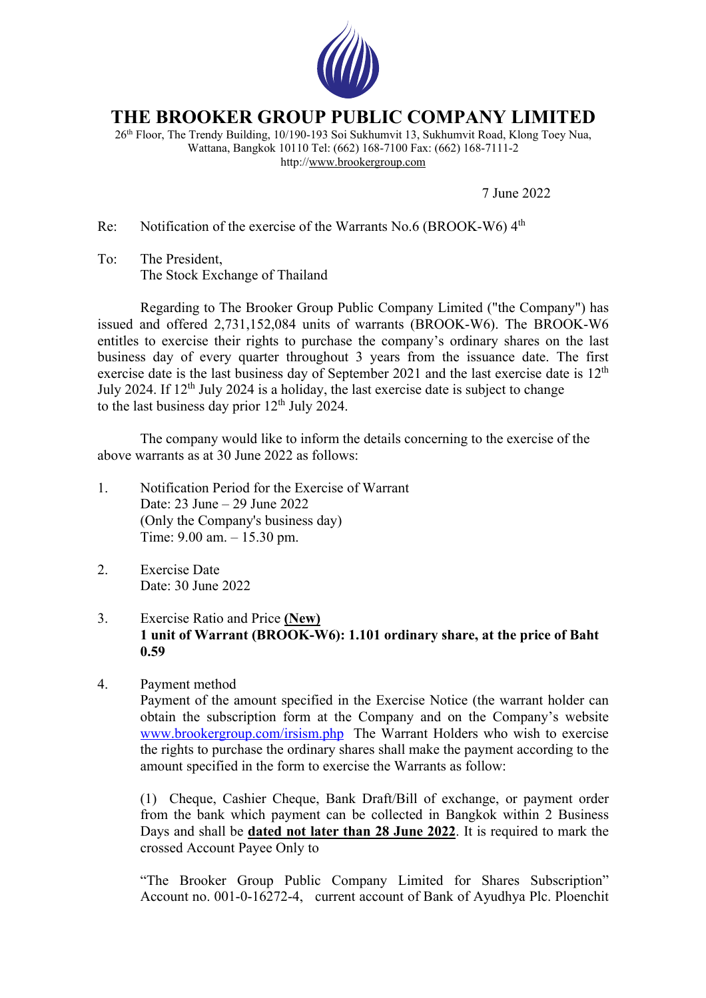

## **THE BROOKER GROUP PUBLIC COMPANY LIMITED**

26th Floor, The Trendy Building, 10/190-193 Soi Sukhumvit 13, Sukhumvit Road, Klong Toey Nua, Wattana, Bangkok 10110 Tel: (662) 168-7100 Fax: (662) 168-7111-2 http://www.brookergroup.com

7 June 2022

Re: Notification of the exercise of the Warrants No.6 (BROOK-W6)  $4<sup>th</sup>$ 

To: The President, The Stock Exchange of Thailand

Regarding to The Brooker Group Public Company Limited ("the Company") has issued and offered 2,731,152,084 units of warrants (BROOK-W6). The BROOK-W6 entitles to exercise their rights to purchase the company's ordinary shares on the last business day of every quarter throughout 3 years from the issuance date. The first exercise date is the last business day of September 2021 and the last exercise date is 12<sup>th</sup> July 2024. If  $12<sup>th</sup>$  July 2024 is a holiday, the last exercise date is subject to change to the last business day prior  $12<sup>th</sup>$  July 2024.

The company would like to inform the details concerning to the exercise of the above warrants as at 30 June 2022 as follows:

- 1. Notification Period for the Exercise of Warrant Date: 23 June – 29 June 2022 (Only the Company's business day) Time: 9.00 am. – 15.30 pm.
- 2. Exercise Date Date: 30 June 2022
- 3. Exercise Ratio and Price **(New) 1 unit of Warrant (BROOK-W6): 1.101 ordinary share, at the price of Baht 0.59**
- 4. Payment method

Payment of the amount specified in the Exercise Notice (the warrant holder can obtain the subscription form at the Company and on the Company's website www.brookergroup.com/irsism.php The Warrant Holders who wish to exercise the rights to purchase the ordinary shares shall make the payment according to the amount specified in the form to exercise the Warrants as follow:

(1) Cheque, Cashier Cheque, Bank Draft/Bill of exchange, or payment order from the bank which payment can be collected in Bangkok within 2 Business Days and shall be **dated not later than 28 June 2022**. It is required to mark the crossed Account Payee Only to

"The Brooker Group Public Company Limited for Shares Subscription" Account no. 001-0-16272-4, current account of Bank of Ayudhya Plc. Ploenchit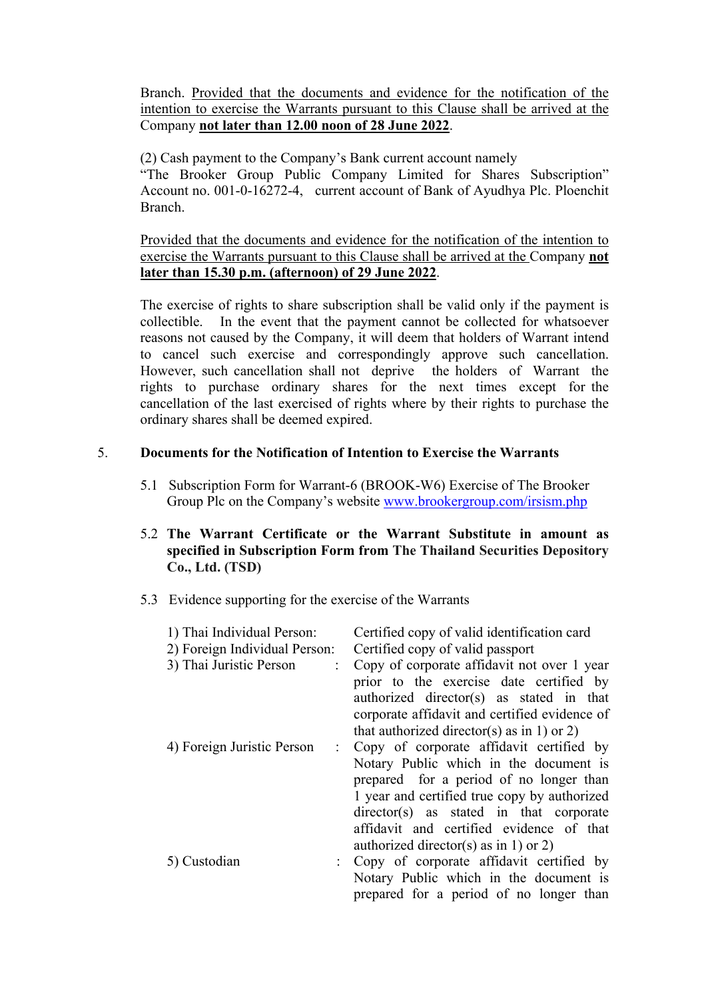Branch. Provided that the documents and evidence for the notification of the intention to exercise the Warrants pursuant to this Clause shall be arrived at the Company **not later than 12.00 noon of 28 June 2022**.

(2) Cash payment to the Company's Bank current account namely "The Brooker Group Public Company Limited for Shares Subscription" Account no. 001-0-16272-4, current account of Bank of Ayudhya Plc. Ploenchit Branch.

Provided that the documents and evidence for the notification of the intention to exercise the Warrants pursuant to this Clause shall be arrived at the Company **not later than 15.30 p.m. (afternoon) of 29 June 2022**.

The exercise of rights to share subscription shall be valid only if the payment is collectible. In the event that the payment cannot be collected for whatsoever reasons not caused by the Company, it will deem that holders of Warrant intend to cancel such exercise and correspondingly approve such cancellation. However, such cancellation shall not deprive the holders of Warrant the rights to purchase ordinary shares for the next times except for the cancellation of the last exercised of rights where by their rights to purchase the ordinary shares shall be deemed expired.

## 5. **Documents for the Notification of Intention to Exercise the Warrants**

- 5.1 Subscription Form for Warrant-6 (BROOK-W6) Exercise of The Brooker Group Plc on the Company's website www.brookergroup.com/irsism.php
- 5.2 **The Warrant Certificate or the Warrant Substitute in amount as specified in Subscription Form from The Thailand Securities Depository Co., Ltd. (TSD)**
- 5.3 Evidence supporting for the exercise of the Warrants

| 1) Thai Individual Person:<br>2) Foreign Individual Person:<br>3) Thai Juristic Person | Certified copy of valid identification card<br>Certified copy of valid passport<br>Copy of corporate affidavit not over 1 year<br>prior to the exercise date certified by<br>authorized director(s) as stated in that<br>corporate affidavit and certified evidence of<br>that authorized director(s) as in 1) or 2) |
|----------------------------------------------------------------------------------------|----------------------------------------------------------------------------------------------------------------------------------------------------------------------------------------------------------------------------------------------------------------------------------------------------------------------|
| 4) Foreign Juristic Person                                                             | : Copy of corporate affidavit certified by<br>Notary Public which in the document is<br>prepared for a period of no longer than<br>1 year and certified true copy by authorized<br>director(s) as stated in that corporate<br>affidavit and certified evidence of that<br>authorized director(s) as in 1) or 2)      |
| 5) Custodian                                                                           | : Copy of corporate affidavit certified by<br>Notary Public which in the document is<br>prepared for a period of no longer than                                                                                                                                                                                      |